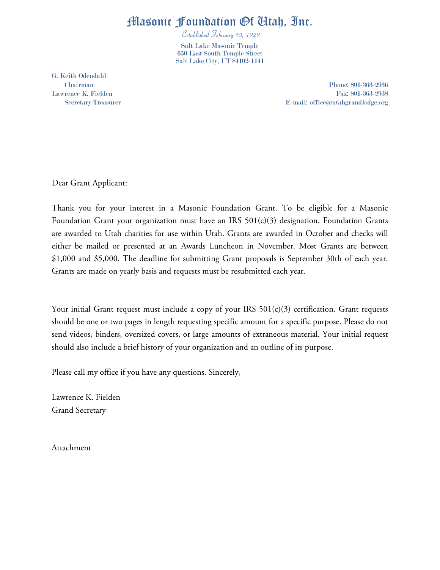## Masonic Foundation Of Utah, Inc.

Established February 13, 1929 Salt Lake Masonic Temple 650 East South Temple Street Salt Lake City, UT 84102-1141

G. Keith Odendahl

Chairman Phone: 801-363-2936 Lawrence K. Fielden Fax: 801-363-2938 Secretary/Treasurer E-mail: office@utahgrandlodge.org

Dear Grant Applicant:

Thank you for your interest in a Masonic Foundation Grant. To be eligible for a Masonic Foundation Grant your organization must have an IRS 501(c)(3) designation. Foundation Grants are awarded to Utah charities for use within Utah. Grants are awarded in October and checks will either be mailed or presented at an Awards Luncheon in November. Most Grants are between \$1,000 and \$5,000. The deadline for submitting Grant proposals is September 30th of each year. Grants are made on yearly basis and requests must be resubmitted each year.

Your initial Grant request must include a copy of your IRS  $501(c)(3)$  certification. Grant requests should be one or two pages in length requesting specific amount for a specific purpose. Please do not send videos, binders, oversized covers, or large amounts of extraneous material. Your initial request should also include a brief history of your organization and an outline of its purpose.

Please call my office if you have any questions. Sincerely,

Lawrence K. Fielden Grand Secretary

Attachment